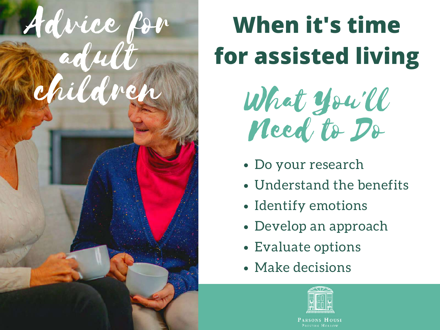

## **When it's time for assisted living**

What You'll Need to Do

- Do your research
- Understand the benefits
- Identify emotions
- Develop an approach
- Evaluate options
- Make decisions



PRESTON HOLLOW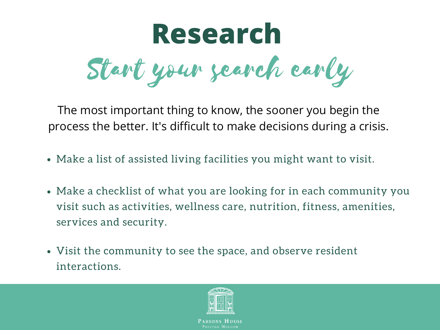

The most important thing to know, the sooner you begin the process the better. It's difficult to make decisions during a crisis.

- Make a list of assisted living facilities you might want to visit.
- Make a checklist of what you are looking for in each community you visit such as activities, wellness care, nutrition, fitness, amenities, services and security.
- Visit the community to see the space, and observe resident interactions.

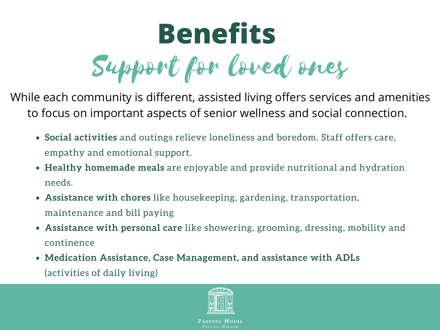## Support for loved ones **Benefits**

While each community is different, assisted living offers services and amenities to focus on important aspects of senior wellness and social connection.

- **Social activities** and outings relieve loneliness and boredom. Staff offers care, empathy and emotional support.
- **Healthy homemade meals** are enjoyable and provide nutritional and hydration needs.
- **Assistance with chores** like housekeeping, gardening, transportation, maintenance and bill paying
- **Assistance with personal care** like showering, grooming, dressing, mobility and continence
- **Medication Assistance, Case Management, and assistance with ADLs** (activities of daily living)

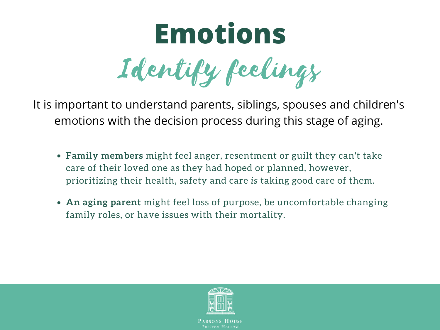## Identify feelings **Emotions**

It is important to understand parents, siblings, spouses and children's emotions with the decision process during this stage of aging.

- **Family members** might feel anger, resentment or guilt they can't take care of their loved one as they had hoped or planned, however, prioritizing their health, safety and care *is* taking good care of them.
- **An aging parent** might feel loss of purpose, be uncomfortable changing family roles, or have issues with their mortality.

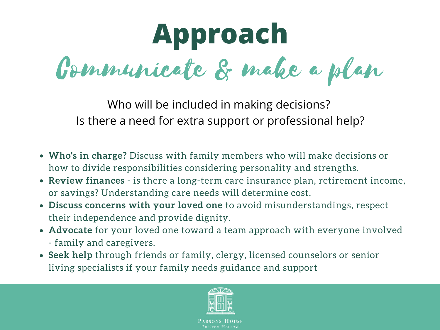Communicate & make a plan **Approach**

Who will be included in making decisions? Is there a need for extra support or professional help?

- **Who's in charge?** Discuss with family members who will make decisions or how to divide responsibilities considering personality and strengths.
- **Review finances** is there a long-term care insurance plan, retirement income, or savings? Understanding care needs will determine cost.
- **Discuss concerns with your loved one** to avoid misunderstandings, respect their independence and provide dignity.
- **Advocate** for your loved one toward a team approach with everyone involved - family and caregivers.
- **Seek help** through friends or family, clergy, licensed counselors or senior living specialists if your family needs guidance and support

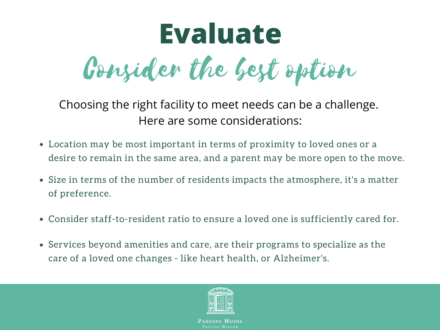## Consider the best option **Evaluate**

Choosing the right facility to meet needs can be a challenge. Here are some considerations:

- Location may be most important in terms of proximity to loved ones or a desire to remain in the same area, and a parent may be more open to the move.
- Size in terms of the number of residents impacts the atmosphere, it's a matter of preference.
- Consider staff-to-resident ratio to ensure a loved one is sufficiently cared for.
- Services beyond amenities and care, are their programs to specialize as the care of a loved one changes - like heart health, or Alzheimer's.

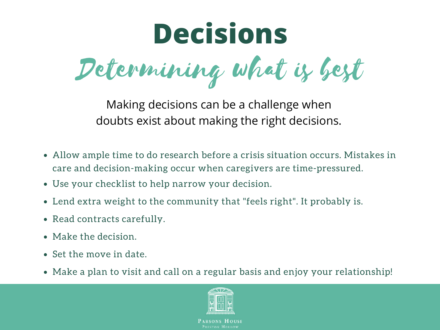

Making decisions can be a challenge when doubts exist about making the right decisions.

- Allow ample time to do research before a crisis situation occurs. Mistakes in care and decision-making occur when caregivers are time-pressured.
- Use your checklist to help narrow your decision.
- Lend extra weight to the community that "feels right". It probably is.
- Read contracts carefully.
- Make the decision.
- Set the move in date.
- Make a plan to visit and call on a regular basis and enjoy your relationship!